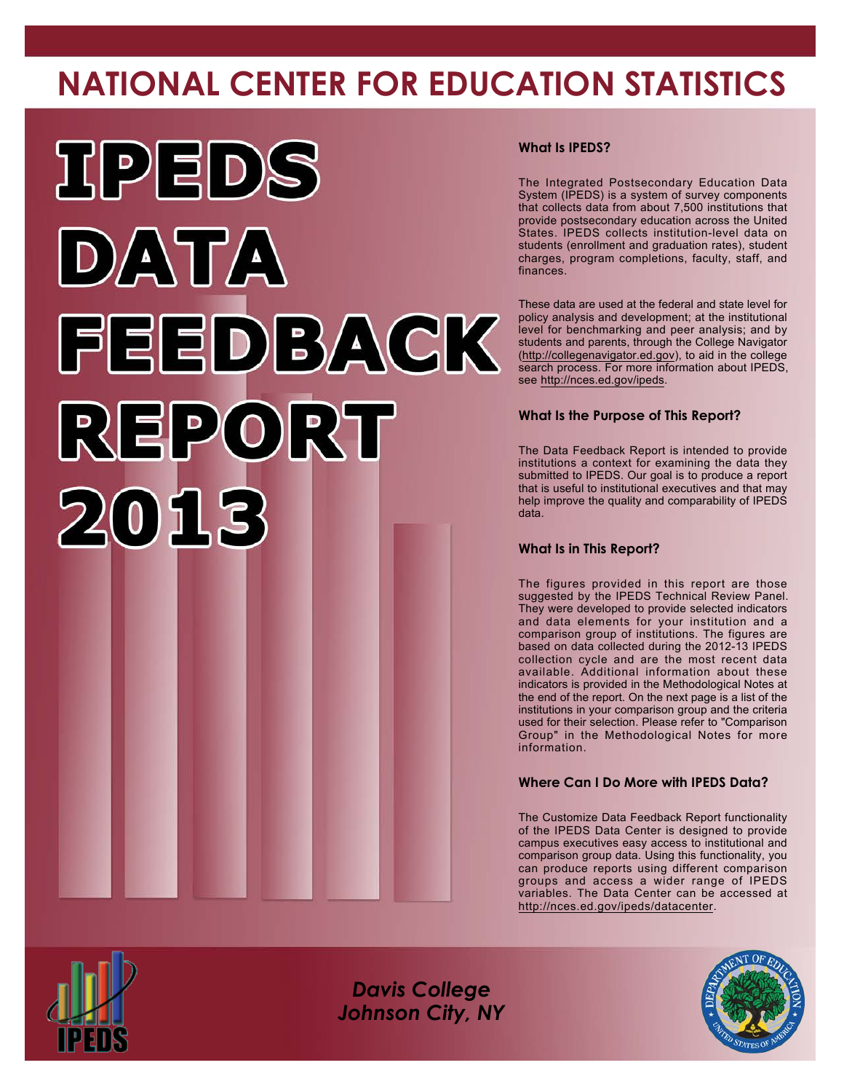# **NATIONAL CENTER FOR EDUCATION STATISTICS**



# **What Is IPEDS?**

The Integrated Postsecondary Education Data System (IPEDS) is a system of survey components that collects data from about 7,500 institutions that provide postsecondary education across the United States. IPEDS collects institution-level data on students (enrollment and graduation rates), student charges, program completions, faculty, staff, and finances.

These data are used at the federal and state level for policy analysis and development; at the institutional level for benchmarking and peer analysis; and by students and parents, through the College Navigator [\(http://collegenavigator.ed.gov\)](http://collegenavigator.ed.gov), to aid in the college search process. For more information about IPEDS, see <http://nces.ed.gov/ipeds>.

# **What Is the Purpose of This Report?**

The Data Feedback Report is intended to provide institutions a context for examining the data they submitted to IPEDS. Our goal is to produce a report that is useful to institutional executives and that may help improve the quality and comparability of IPEDS data.

### **What Is in This Report?**

The figures provided in this report are those suggested by the IPEDS Technical Review Panel. They were developed to provide selected indicators and data elements for your institution and a comparison group of institutions. The figures are based on data collected during the 2012-13 IPEDS collection cycle and are the most recent data available. Additional information about these indicators is provided in the Methodological Notes at the end of the report. On the next page is a list of the institutions in your comparison group and the criteria used for their selection. Please refer to "Comparison Group" in the Methodological Notes for more information.

# **Where Can I Do More with IPEDS Data?**

The Customize Data Feedback Report functionality of the IPEDS Data Center is designed to provide campus executives easy access to institutional and comparison group data. Using this functionality, you can produce reports using different comparison groups and access a wider range of IPEDS variables. The Data Center can be accessed at <http://nces.ed.gov/ipeds/datacenter>.



*Davis College Johnson City, NY*

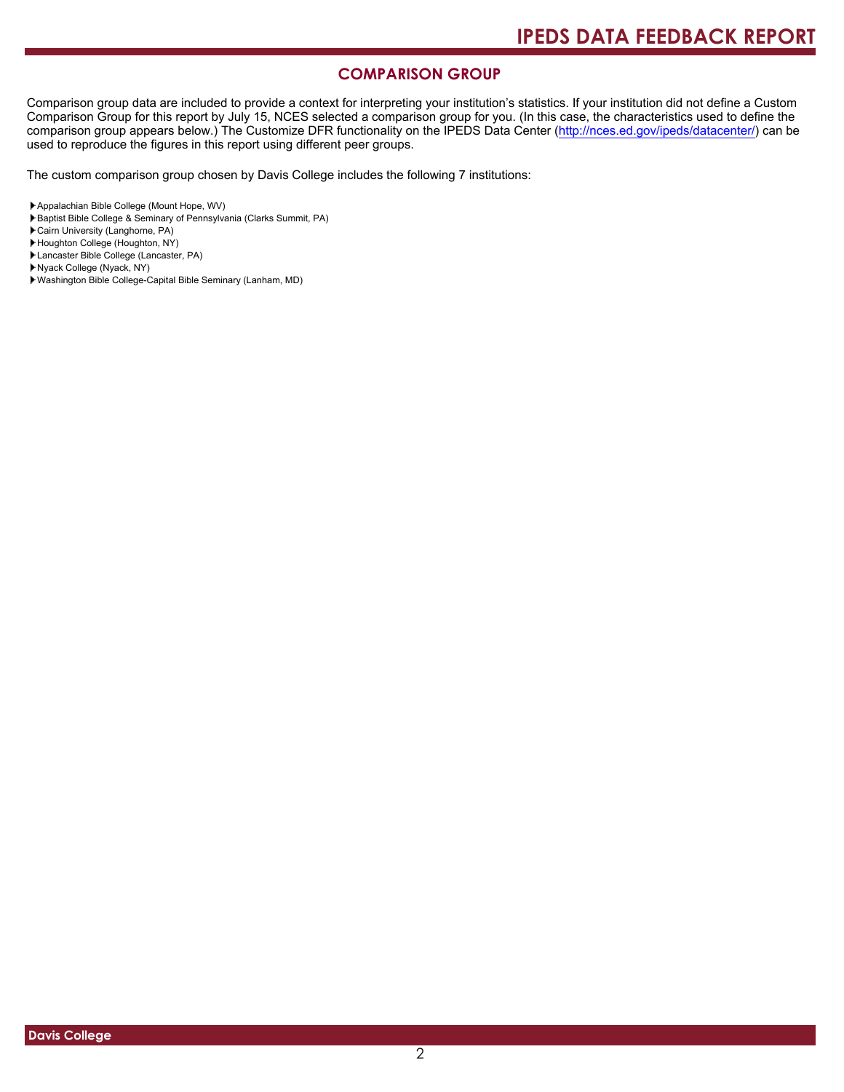# **COMPARISON GROUP**

Comparison group data are included to provide a context for interpreting your institution's statistics. If your institution did not define a Custom Comparison Group for this report by July 15, NCES selected a comparison group for you. (In this case, the characteristics used to define the comparison group appears below.) The Customize DFR functionality on the IPEDS Data Center [\(http://nces.ed.gov/ipeds/datacenter/\)](http://nces.ed.gov/ipeds/datacenter/) can be used to reproduce the figures in this report using different peer groups.

The custom comparison group chosen by Davis College includes the following 7 institutions:

- Baptist Bible College & Seminary of Pennsylvania (Clarks Summit, PA)
- Cairn University (Langhorne, PA)
- Houghton College (Houghton, NY)
- Lancaster Bible College (Lancaster, PA)
- Nyack College (Nyack, NY)
- Washington Bible College-Capital Bible Seminary (Lanham, MD)

Appalachian Bible College (Mount Hope, WV)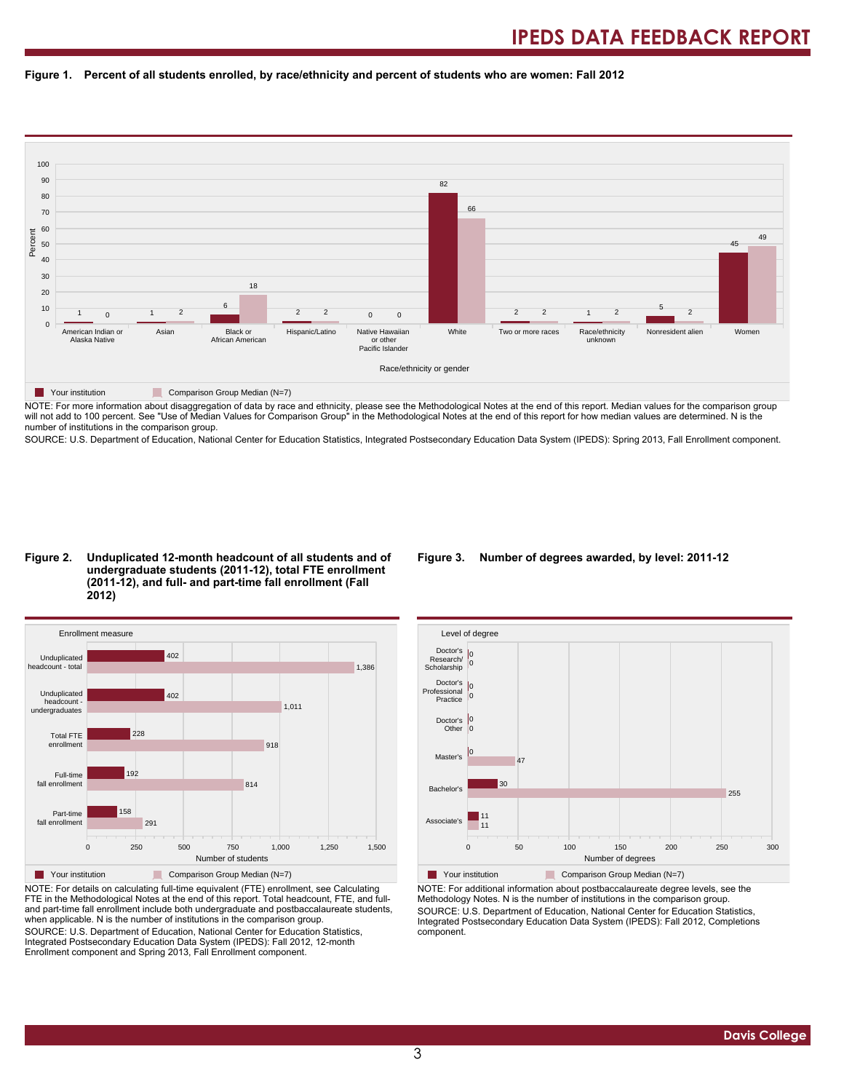



NOTE: For more information about disaggregation of data by race and ethnicity, please see the Methodological Notes at the end of this report. Median values for the comparison group will not add to 100 percent. See "Use of Median Values for Comparison Group" in the Methodological Notes at the end of this report for how median values are determined. N is the number of institutions in the comparison group.

SOURCE: U.S. Department of Education, National Center for Education Statistics, Integrated Postsecondary Education Data System (IPEDS): Spring 2013, Fall Enrollment component.

#### **Figure 2. Unduplicated 12-month headcount of all students and of undergraduate students (2011-12), total FTE enrollment (2011-12), and full- and part-time fall enrollment (Fall 2012)**



NOTE: For details on calculating full-time equivalent (FTE) enrollment, see Calculating FTE in the Methodological Notes at the end of this report. Total headcount, FTE, and fulland part-time fall enrollment include both undergraduate and postbaccalaureate students, when applicable. N is the number of institutions in the comparison group. SOURCE: U.S. Department of Education, National Center for Education Statistics, Integrated Postsecondary Education Data System (IPEDS): Fall 2012, 12-month Enrollment component and Spring 2013, Fall Enrollment component.

#### **Figure 3. Number of degrees awarded, by level: 2011-12**



NOTE: For additional information about postbaccalaureate degree levels, see the Methodology Notes. N is the number of institutions in the comparison group. SOURCE: U.S. Department of Education, National Center for Education Statistics, Integrated Postsecondary Education Data System (IPEDS): Fall 2012, Completions component.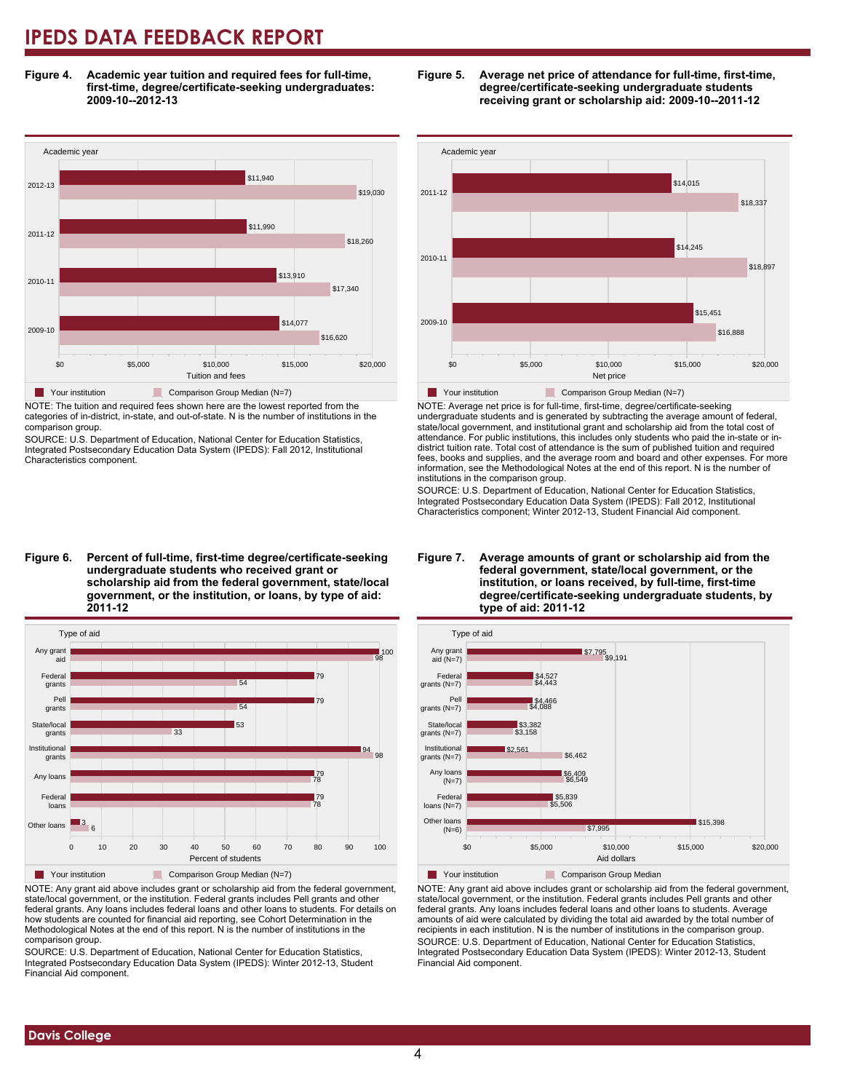**Figure 4. Academic year tuition and required fees for full-time, first-time, degree/certificate-seeking undergraduates: 2009-10--2012-13**



NOTE: The tuition and required fees shown here are the lowest reported from the categories of in-district, in-state, and out-of-state. N is the number of institutions in the comparison group.

SOURCE: U.S. Department of Education, National Center for Education Statistics, Integrated Postsecondary Education Data System (IPEDS): Fall 2012, Institutional Characteristics component.

**Figure 6. Percent of full-time, first-time degree/certificate-seeking undergraduate students who received grant or scholarship aid from the federal government, state/local government, or the institution, or loans, by type of aid: 2011-12**



NOTE: Any grant aid above includes grant or scholarship aid from the federal government, state/local government, or the institution. Federal grants includes Pell grants and other federal grants. Any loans includes federal loans and other loans to students. For details on how students are counted for financial aid reporting, see Cohort Determination in the Methodological Notes at the end of this report. N is the number of institutions in the comparison group.

SOURCE: U.S. Department of Education, National Center for Education Statistics, Integrated Postsecondary Education Data System (IPEDS): Winter 2012-13, Student Financial Aid component.





NOTE: Average net price is for full-time, first-time, degree/certificate-seeking undergraduate students and is generated by subtracting the average amount of federal, state/local government, and institutional grant and scholarship aid from the total cost of attendance. For public institutions, this includes only students who paid the in-state or indistrict tuition rate. Total cost of attendance is the sum of published tuition and required fees, books and supplies, and the average room and board and other expenses. For more information, see the Methodological Notes at the end of this report. N is the number of institutions in the comparison group.

SOURCE: U.S. Department of Education, National Center for Education Statistics, Integrated Postsecondary Education Data System (IPEDS): Fall 2012, Institutional Characteristics component; Winter 2012-13, Student Financial Aid component.





**T** Your institution **Comparison Group Median** 

NOTE: Any grant aid above includes grant or scholarship aid from the federal government, state/local government, or the institution. Federal grants includes Pell grants and other federal grants. Any loans includes federal loans and other loans to students. Average amounts of aid were calculated by dividing the total aid awarded by the total number of recipients in each institution. N is the number of institutions in the comparison group. SOURCE: U.S. Department of Education, National Center for Education Statistics, Integrated Postsecondary Education Data System (IPEDS): Winter 2012-13, Student Financial Aid component.

 **Davis College**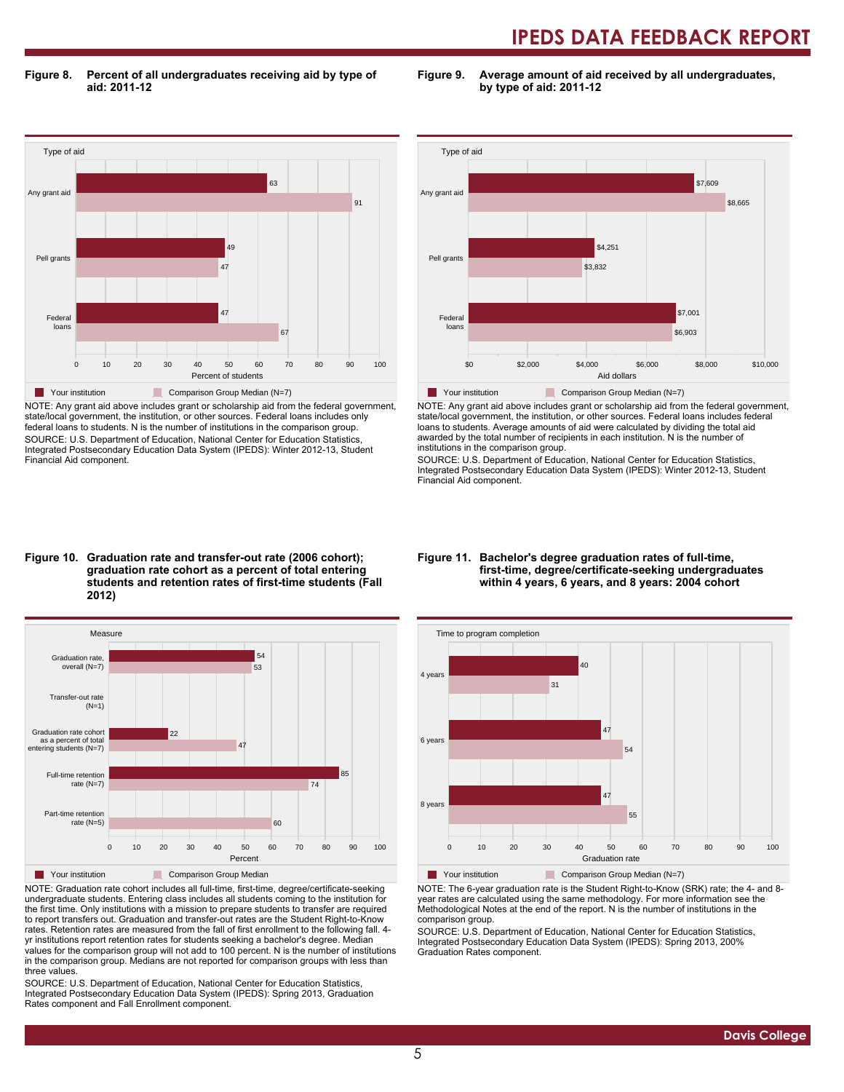**Figure 8. Percent of all undergraduates receiving aid by type of aid: 2011-12**

**Figure 9. Average amount of aid received by all undergraduates, by type of aid: 2011-12**



NOTE: Any grant aid above includes grant or scholarship aid from the federal government, state/local government, the institution, or other sources. Federal loans includes only federal loans to students. N is the number of institutions in the comparison group. SOURCE: U.S. Department of Education, National Center for Education Statistics, Integrated Postsecondary Education Data System (IPEDS): Winter 2012-13, Student Financial Aid component.



NOTE: Any grant aid above includes grant or scholarship aid from the federal government, state/local government, the institution, or other sources. Federal loans includes federal loans to students. Average amounts of aid were calculated by dividing the total aid awarded by the total number of recipients in each institution. N is the number of institutions in the comparison group.

SOURCE: U.S. Department of Education, National Center for Education Statistics, Integrated Postsecondary Education Data System (IPEDS): Winter 2012-13, Student Financial Aid component.

#### **Figure 10. Graduation rate and transfer-out rate (2006 cohort); graduation rate cohort as a percent of total entering students and retention rates of first-time students (Fall 2012)**



NOTE: Graduation rate cohort includes all full-time, first-time, degree/certificate-seeking undergraduate students. Entering class includes all students coming to the institution for the first time. Only institutions with a mission to prepare students to transfer are required to report transfers out. Graduation and transfer-out rates are the Student Right-to-Know rates. Retention rates are measured from the fall of first enrollment to the following fall. 4 yr institutions report retention rates for students seeking a bachelor's degree. Median values for the comparison group will not add to 100 percent. N is the number of institutions in the comparison group. Medians are not reported for comparison groups with less than three values.

SOURCE: U.S. Department of Education, National Center for Education Statistics, Integrated Postsecondary Education Data System (IPEDS): Spring 2013, Graduation Rates component and Fall Enrollment component.

#### **Figure 11. Bachelor's degree graduation rates of full-time, first-time, degree/certificate-seeking undergraduates within 4 years, 6 years, and 8 years: 2004 cohort**



NOTE: The 6-year graduation rate is the Student Right-to-Know (SRK) rate; the 4- and 8 year rates are calculated using the same methodology. For more information see the Methodological Notes at the end of the report. N is the number of institutions in the comparison group.

SOURCE: U.S. Department of Education, National Center for Education Statistics, Integrated Postsecondary Education Data System (IPEDS): Spring 2013, 200% Graduation Rates component.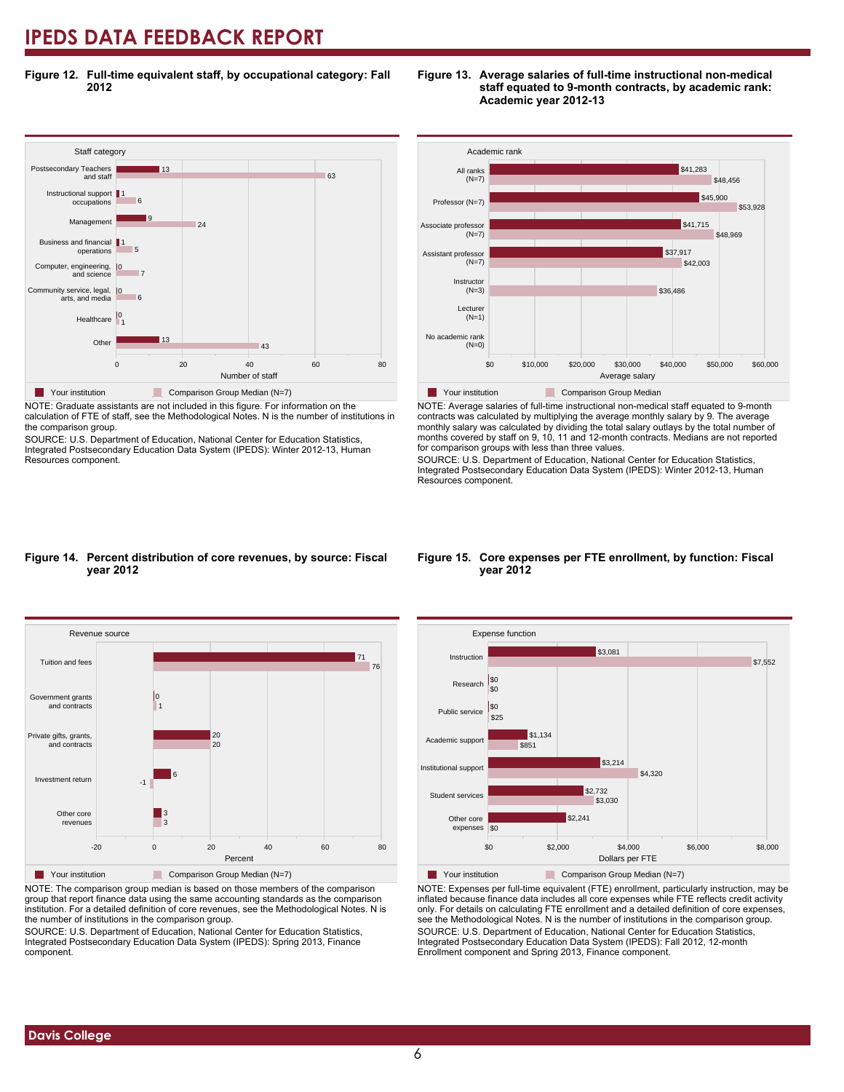**Figure 12. Full-time equivalent staff, by occupational category: Fall 2012**



NOTE: Graduate assistants are not included in this figure. For information on the calculation of FTE of staff, see the Methodological Notes. N is the number of institutions in the comparison group.

SOURCE: U.S. Department of Education, National Center for Education Statistics, Integrated Postsecondary Education Data System (IPEDS): Winter 2012-13, Human Resources component.



**Figure 13. Average salaries of full-time instructional non-medical**

**Academic year 2012-13**

**staff equated to 9-month contracts, by academic rank:**



NOTE: Average salaries of full-time instructional non-medical staff equated to 9-month contracts was calculated by multiplying the average monthly salary by 9. The average monthly salary was calculated by dividing the total salary outlays by the total number of months covered by staff on 9, 10, 11 and 12-month contracts. Medians are not reported for comparison groups with less than three values.

SOURCE: U.S. Department of Education, National Center for Education Statistics, Integrated Postsecondary Education Data System (IPEDS): Winter 2012-13, Human Resources component.

#### **Figure 14. Percent distribution of core revenues, by source: Fiscal year 2012**



NOTE: The comparison group median is based on those members of the comparison group that report finance data using the same accounting standards as the comparison institution. For a detailed definition of core revenues, see the Methodological Notes. N is the number of institutions in the comparison group.

SOURCE: U.S. Department of Education, National Center for Education Statistics, Integrated Postsecondary Education Data System (IPEDS): Spring 2013, Finance component.

#### **Figure 15. Core expenses per FTE enrollment, by function: Fiscal year 2012**



NOTE: Expenses per full-time equivalent (FTE) enrollment, particularly instruction, may be inflated because finance data includes all core expenses while FTE reflects credit activity only. For details on calculating FTE enrollment and a detailed definition of core expenses, see the Methodological Notes. N is the number of institutions in the comparison group. SOURCE: U.S. Department of Education, National Center for Education Statistics, Integrated Postsecondary Education Data System (IPEDS): Fall 2012, 12-month Enrollment component and Spring 2013, Finance component.

 **Davis College**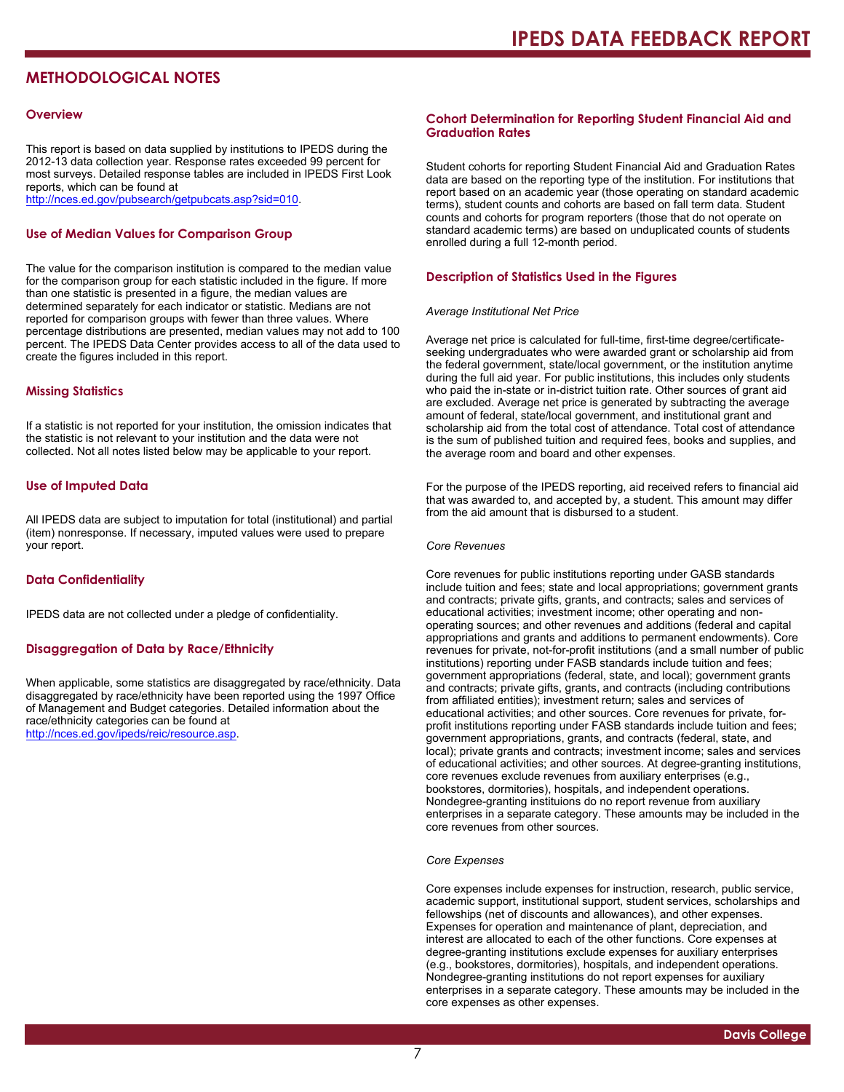# **METHODOLOGICAL NOTES**

#### **Overview**

This report is based on data supplied by institutions to IPEDS during the 2012-13 data collection year. Response rates exceeded 99 percent for most surveys. Detailed response tables are included in IPEDS First Look reports, which can be found at [http://nces.ed.gov/pubsearch/getpubcats.asp?sid=010.](http://nces.ed.gov/pubsearch/getpubcats.asp?sid=010)

#### **Use of Median Values for Comparison Group**

The value for the comparison institution is compared to the median value for the comparison group for each statistic included in the figure. If more than one statistic is presented in a figure, the median values are determined separately for each indicator or statistic. Medians are not reported for comparison groups with fewer than three values. Where percentage distributions are presented, median values may not add to 100 percent. The IPEDS Data Center provides access to all of the data used to create the figures included in this report.

#### **Missing Statistics**

If a statistic is not reported for your institution, the omission indicates that the statistic is not relevant to your institution and the data were not collected. Not all notes listed below may be applicable to your report.

#### **Use of Imputed Data**

All IPEDS data are subject to imputation for total (institutional) and partial (item) nonresponse. If necessary, imputed values were used to prepare your report.

#### **Data Confidentiality**

IPEDS data are not collected under a pledge of confidentiality.

#### **Disaggregation of Data by Race/Ethnicity**

When applicable, some statistics are disaggregated by race/ethnicity. Data disaggregated by race/ethnicity have been reported using the 1997 Office of Management and Budget categories. Detailed information about the race/ethnicity categories can be found at <http://nces.ed.gov/ipeds/reic/resource.asp>.

#### **Cohort Determination for Reporting Student Financial Aid and Graduation Rates**

Student cohorts for reporting Student Financial Aid and Graduation Rates data are based on the reporting type of the institution. For institutions that report based on an academic year (those operating on standard academic terms), student counts and cohorts are based on fall term data. Student counts and cohorts for program reporters (those that do not operate on standard academic terms) are based on unduplicated counts of students enrolled during a full 12-month period.

#### **Description of Statistics Used in the Figures**

#### *Average Institutional Net Price*

Average net price is calculated for full-time, first-time degree/certificateseeking undergraduates who were awarded grant or scholarship aid from the federal government, state/local government, or the institution anytime during the full aid year. For public institutions, this includes only students who paid the in-state or in-district tuition rate. Other sources of grant aid are excluded. Average net price is generated by subtracting the average amount of federal, state/local government, and institutional grant and scholarship aid from the total cost of attendance. Total cost of attendance is the sum of published tuition and required fees, books and supplies, and the average room and board and other expenses.

For the purpose of the IPEDS reporting, aid received refers to financial aid that was awarded to, and accepted by, a student. This amount may differ from the aid amount that is disbursed to a student.

#### *Core Revenues*

Core revenues for public institutions reporting under GASB standards include tuition and fees; state and local appropriations; government grants and contracts; private gifts, grants, and contracts; sales and services of educational activities; investment income; other operating and nonoperating sources; and other revenues and additions (federal and capital appropriations and grants and additions to permanent endowments). Core revenues for private, not-for-profit institutions (and a small number of public institutions) reporting under FASB standards include tuition and fees; government appropriations (federal, state, and local); government grants and contracts; private gifts, grants, and contracts (including contributions from affiliated entities); investment return; sales and services of educational activities; and other sources. Core revenues for private, forprofit institutions reporting under FASB standards include tuition and fees; government appropriations, grants, and contracts (federal, state, and local); private grants and contracts; investment income; sales and services of educational activities; and other sources. At degree-granting institutions, core revenues exclude revenues from auxiliary enterprises (e.g., bookstores, dormitories), hospitals, and independent operations. Nondegree-granting instituions do no report revenue from auxiliary enterprises in a separate category. These amounts may be included in the core revenues from other sources.

#### *Core Expenses*

Core expenses include expenses for instruction, research, public service, academic support, institutional support, student services, scholarships and fellowships (net of discounts and allowances), and other expenses. Expenses for operation and maintenance of plant, depreciation, and interest are allocated to each of the other functions. Core expenses at degree-granting institutions exclude expenses for auxiliary enterprises (e.g., bookstores, dormitories), hospitals, and independent operations. Nondegree-granting institutions do not report expenses for auxiliary enterprises in a separate category. These amounts may be included in the core expenses as other expenses.